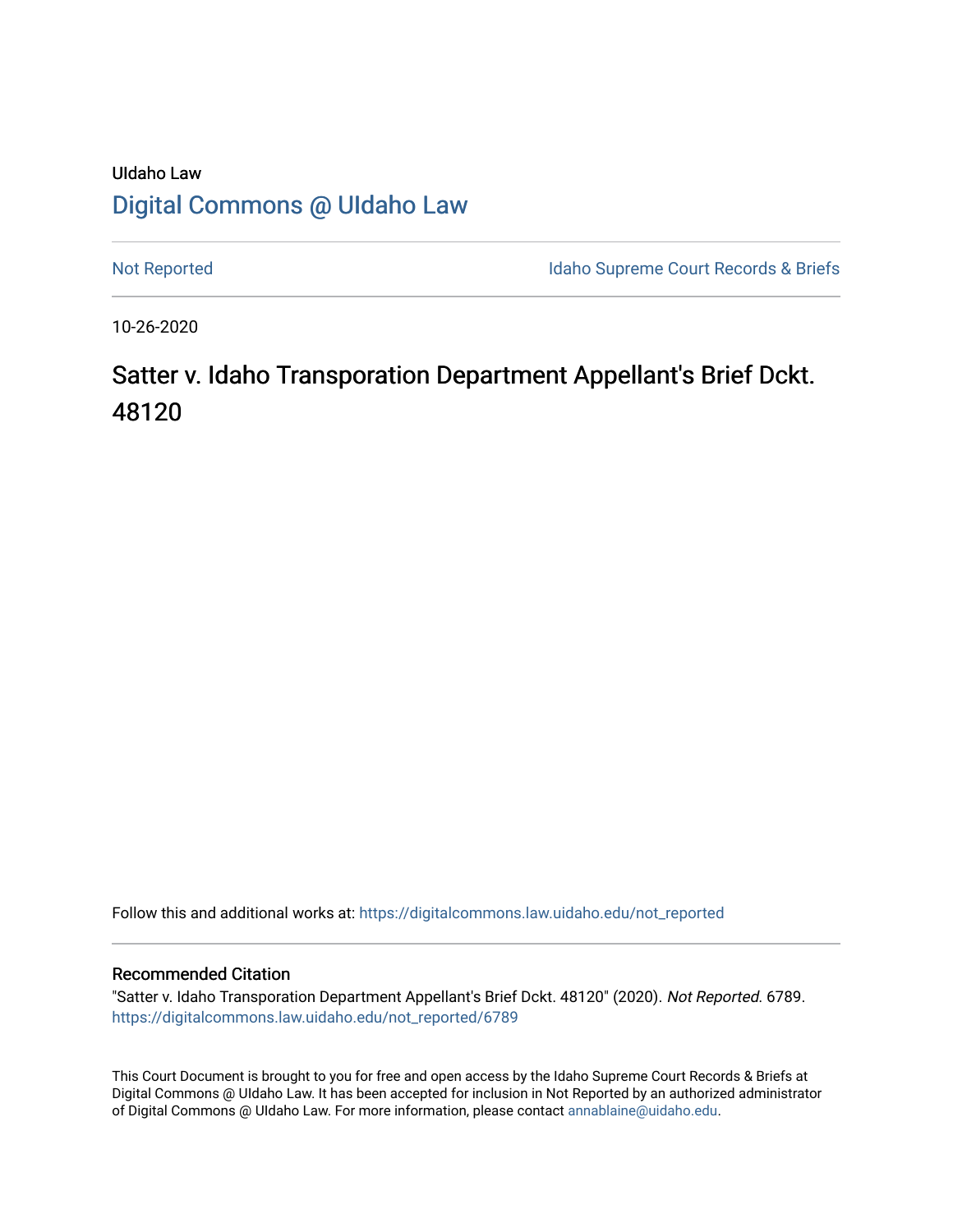## UIdaho Law [Digital Commons @ UIdaho Law](https://digitalcommons.law.uidaho.edu/)

[Not Reported](https://digitalcommons.law.uidaho.edu/not_reported) **Idaho Supreme Court Records & Briefs** 

10-26-2020

# Satter v. Idaho Transporation Department Appellant's Brief Dckt. 48120

Follow this and additional works at: [https://digitalcommons.law.uidaho.edu/not\\_reported](https://digitalcommons.law.uidaho.edu/not_reported?utm_source=digitalcommons.law.uidaho.edu%2Fnot_reported%2F6789&utm_medium=PDF&utm_campaign=PDFCoverPages) 

#### Recommended Citation

"Satter v. Idaho Transporation Department Appellant's Brief Dckt. 48120" (2020). Not Reported. 6789. [https://digitalcommons.law.uidaho.edu/not\\_reported/6789](https://digitalcommons.law.uidaho.edu/not_reported/6789?utm_source=digitalcommons.law.uidaho.edu%2Fnot_reported%2F6789&utm_medium=PDF&utm_campaign=PDFCoverPages)

This Court Document is brought to you for free and open access by the Idaho Supreme Court Records & Briefs at Digital Commons @ UIdaho Law. It has been accepted for inclusion in Not Reported by an authorized administrator of Digital Commons @ UIdaho Law. For more information, please contact [annablaine@uidaho.edu](mailto:annablaine@uidaho.edu).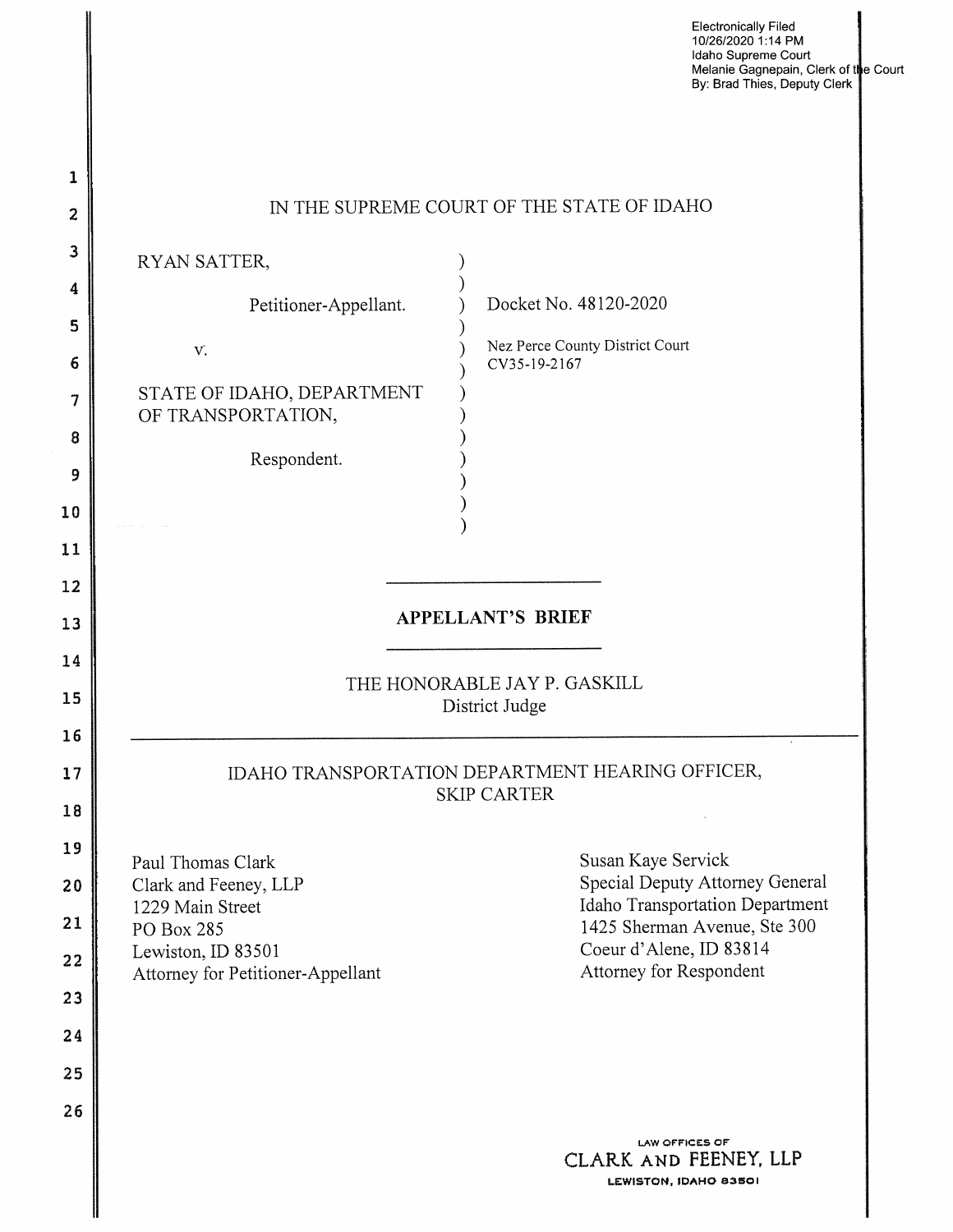**Electronically Filed 10/26/2020 1** : **14 PM Idaho Supreme Court Melanie Gagnepain, Clerk oft e Court By: Brad Thies, Deputy Clerk** 

| 1              |                                                                                                                 |
|----------------|-----------------------------------------------------------------------------------------------------------------|
| 2              | IN THE SUPREME COURT OF THE STATE OF IDAHO                                                                      |
| З              | RYAN SATTER,                                                                                                    |
| 4<br>5         | Docket No. 48120-2020<br>Petitioner-Appellant.                                                                  |
| 6              | Nez Perce County District Court<br>V.<br>CV35-19-2167                                                           |
| 7              | STATE OF IDAHO, DEPARTMENT<br>OF TRANSPORTATION,                                                                |
| 8<br>9         | Respondent.                                                                                                     |
| 10             |                                                                                                                 |
| 11             |                                                                                                                 |
| 12             |                                                                                                                 |
| 13             | <b>APPELLANT'S BRIEF</b>                                                                                        |
| 14<br>15<br>16 | THE HONORABLE JAY P. GASKILL<br>District Judge                                                                  |
| 17<br>18       | IDAHO TRANSPORTATION DEPARTMENT HEARING OFFICER,<br><b>SKIP CARTER</b>                                          |
| 19             | Susan Kaye Servick<br>Paul Thomas Clark                                                                         |
| 20             | Special Deputy Attorney General<br>Clark and Feeney, LLP<br>Idaho Transportation Department<br>1229 Main Street |
| 21             | 1425 Sherman Avenue, Ste 300<br>PO Box 285<br>Coeur d'Alene, ID 83814                                           |
| 22             | Lewiston, ID 83501<br>Attorney for Respondent<br>Attorney for Petitioner-Appellant                              |
| 23<br>24       |                                                                                                                 |
| 25             |                                                                                                                 |
| 26             |                                                                                                                 |
|                | <b>LAW OFFICES OF</b><br>CLARK AND FEENEY, LLP<br>LEWISTON, IDAHO 83501                                         |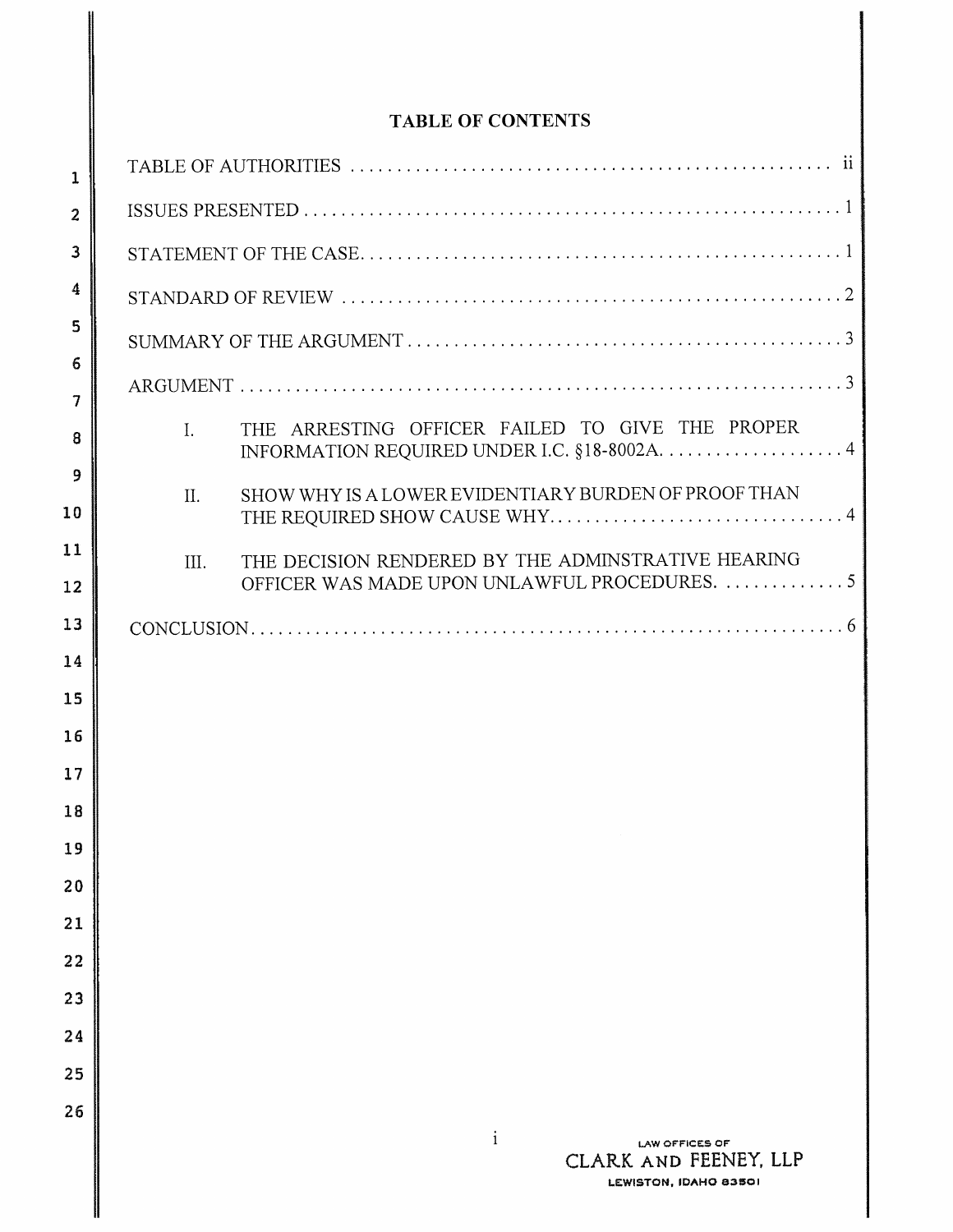### **TABLE OF CONTENTS**

| 1              |                                                                                         |
|----------------|-----------------------------------------------------------------------------------------|
| $\overline{a}$ |                                                                                         |
| 3              |                                                                                         |
| 4              |                                                                                         |
| 5              |                                                                                         |
| 6              |                                                                                         |
| 7<br>8         | THE ARRESTING OFFICER FAILED TO GIVE THE PROPER<br>$\mathbf{I}$ .                       |
| 9              | SHOW WHY IS A LOWER EVIDENTIARY BURDEN OF PROOF THAN<br>$\Pi$ .                         |
| 10             |                                                                                         |
| 11             | THE DECISION RENDERED BY THE ADMINSTRATIVE HEARING<br>III.                              |
| 12             | OFFICER WAS MADE UPON UNLAWFUL PROCEDURES.  5                                           |
| 13<br>14       |                                                                                         |
| 15             |                                                                                         |
| 16             |                                                                                         |
| 17             |                                                                                         |
| 18             |                                                                                         |
| 19             |                                                                                         |
| 20             |                                                                                         |
| 21             |                                                                                         |
| 22             |                                                                                         |
| 23             |                                                                                         |
| 24             |                                                                                         |
| 25             |                                                                                         |
| 26             | $\mathbf{i}$<br><b>LAW OFFICES OF</b><br>CLARK AND FEENEY, LLP<br>LEWISTON, IDAHO 83501 |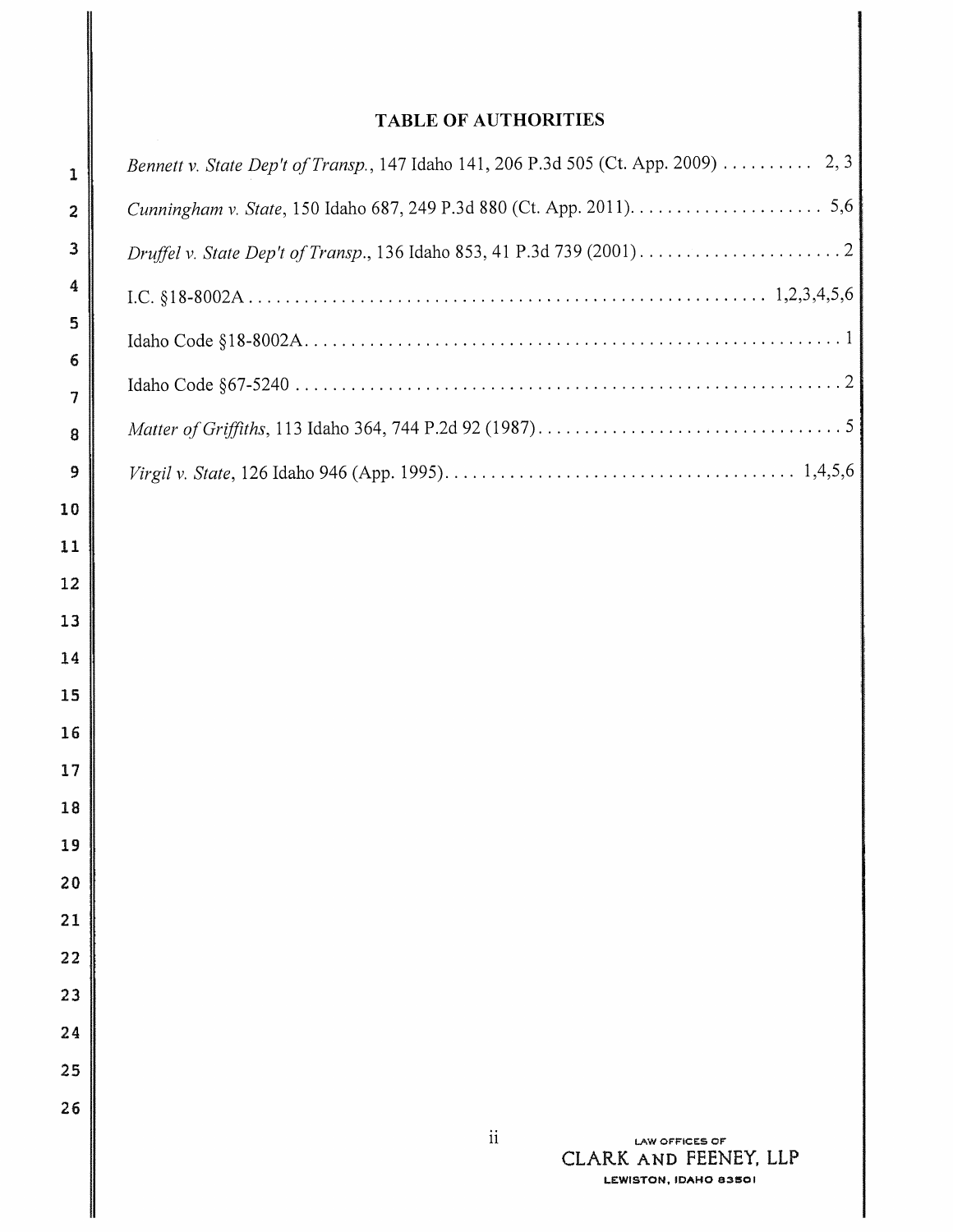### **TABLE OF AUTHORITIES**

| Bennett v. State Dep't of Transp., 147 Idaho 141, 206 P.3d 505 (Ct. App. 2009) 2, 3 |
|-------------------------------------------------------------------------------------|
|                                                                                     |
|                                                                                     |
|                                                                                     |
|                                                                                     |
|                                                                                     |
|                                                                                     |
|                                                                                     |
|                                                                                     |
|                                                                                     |
|                                                                                     |
|                                                                                     |
|                                                                                     |
|                                                                                     |
|                                                                                     |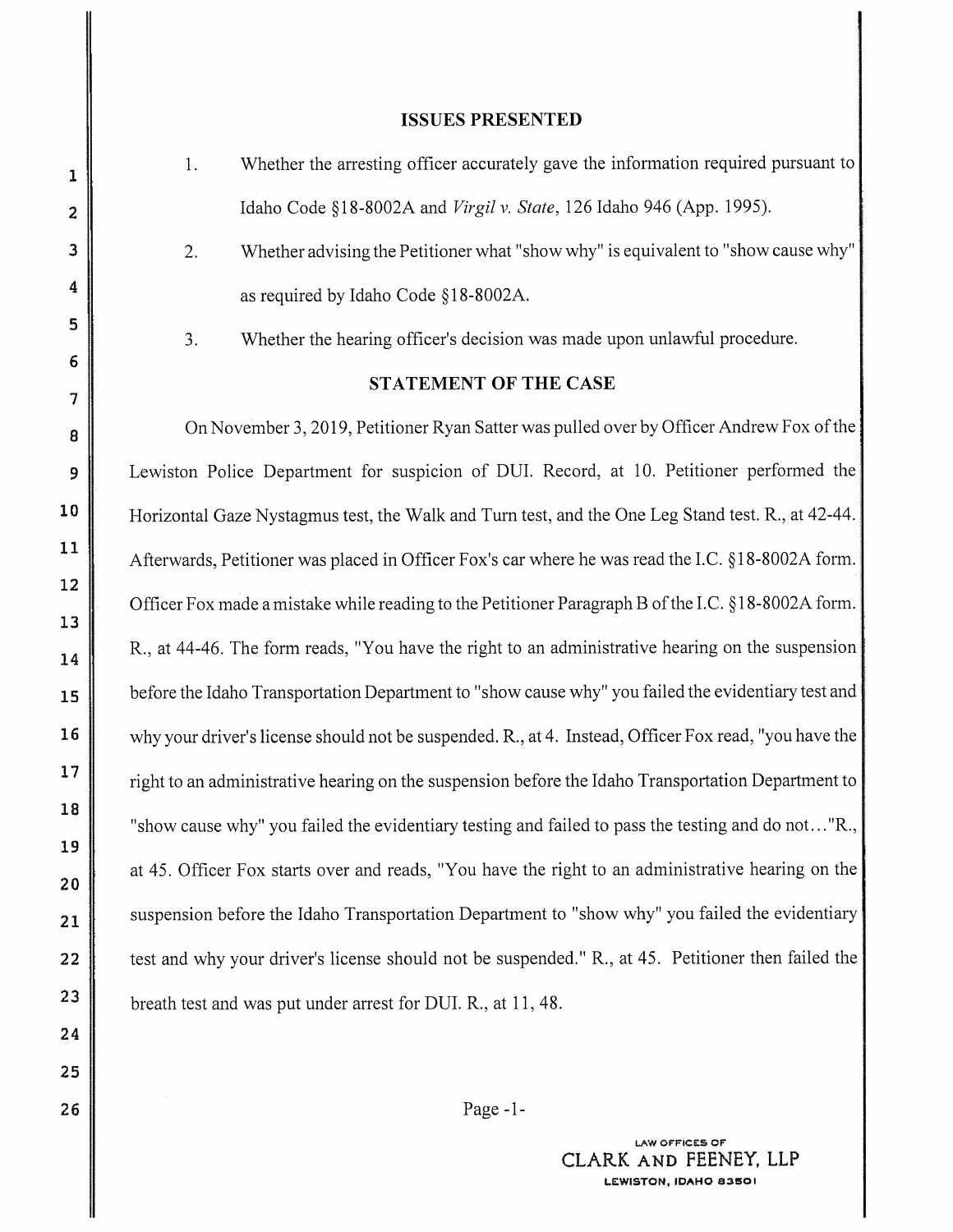#### **ISSUES PRESENTED**

- 1. Whether the arresting officer accurately gave the information required pursuant to Idaho Code§ 18-8002A and *Virgil v. State,* 126 Idaho 946 (App. 1995).
- 2. Whether advising the Petitioner what "show why" is equivalent to "show cause why" as required by Idaho Code § 18-8002A.

3. Whether the hearing officer's decision was made upon unlawful procedure.

#### **STATEMENT OF THE CASE**

On November 3, 2019, Petitioner Ryan Satter was pulled over by Officer Andrew Fox of the Lewiston Police Department for suspicion of DUI. Record, at 10. Petitioner performed the Horizontal Gaze Nystagmus test, the Walk and Turn test, and the One Leg Stand test. R., at 42-44. Afterwards, Petitioner was placed in Officer Fox's car where he was read the LC. § 18-8002A form. Officer Fox made a mistake while reading to the Petitioner Paragraph B of the LC. § 18-8002A form. R., at 44-46. The form reads, "You have the right to an administrative hearing on the suspension before the Idaho Transportation Department to "show cause why" you failed the evidentiary test and why your driver's license should not be suspended. R., at 4. Instead, Officer Fox read, "you have the right to an administrative hearing on the suspension before the Idaho Transportation Department to : "show cause why" you failed the evidentiary testing and failed to pass the testing and do not ... "R., at 45. Officer Fox starts over and reads, "You have the right to an administrative hearing on the suspension before the Idaho Transportation Department to "show why" you failed the evidentiary test and why your driver's license should not be suspended." R., at 45. Petitioner then failed the breath test and was put under arrest for DUI. R., at 11, 48.

Page -1-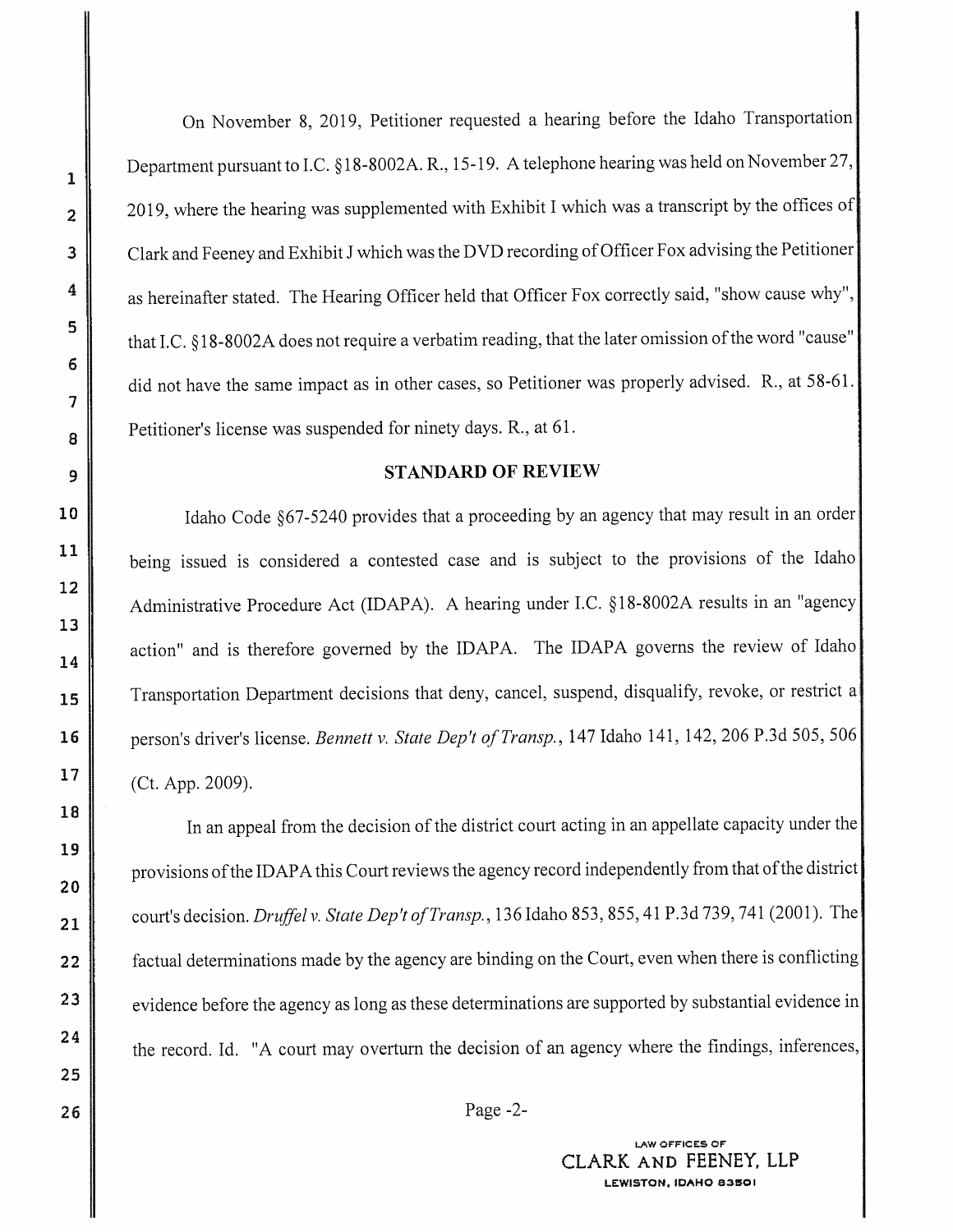On November 8, 2019, Petitioner requested a hearing before the Idaho Transportation Department pursuant to I.C. § 18-8002A. R., 15-19. A telephone hearing was held on November 27, 2019, where the hearing was supplemented with Exhibit I which was a transcript by the offices of Clark and Feeney and Exhibit J which was the DVD recording of Officer Fox advising the Petitioner as hereinafter stated. The Hearing Officer held that Officer Fox correctly said, "show cause why", that I.C. § 18-8002A does not require a verbatim reading, that the later omission of the word "cause" did not have the same impact as in other cases, so Petitioner was properly advised. R., at 58-61. Petitioner's license was suspended for ninety days. R., at 61.

#### **STANDARD OF REVIEW**

Idaho Code §67-5240 provides that a proceeding by an agency that may result in an order being issued is considered a contested case and is subject to the provisions of the Idaho Administrative Procedure Act (IDAPA). A hearing under I.C. § 18-8002A results in an "agency action" and is therefore governed by the IDAPA. The IDAPA governs the review of Idaho Transportation Department decisions that deny, cancel, suspend, disqualify, revoke, or restrict a person's driver's license. *Bennett v. State Dep't of Transp.*, 147 Idaho 141, 142, 206 P.3d 505, 506 (Ct. App. 2009).

In an appeal from the decision of the district court acting in an appellate capacity under the: provisions of the IDAPA this Court reviews the agency record independently from that of the district court's decision. *Druffel v. State Dep't ofTransp.,* 136 Idaho 853,855, 41 P.3d 739, 741 (2001). The factual determinations made by the agency are binding on the Court, even when there is conflicting evidence before the agency as long as these determinations are supported by substantial evidence in the record. Id. "A court may overturn the decision of an agency where the findings, inferences,

Page -2-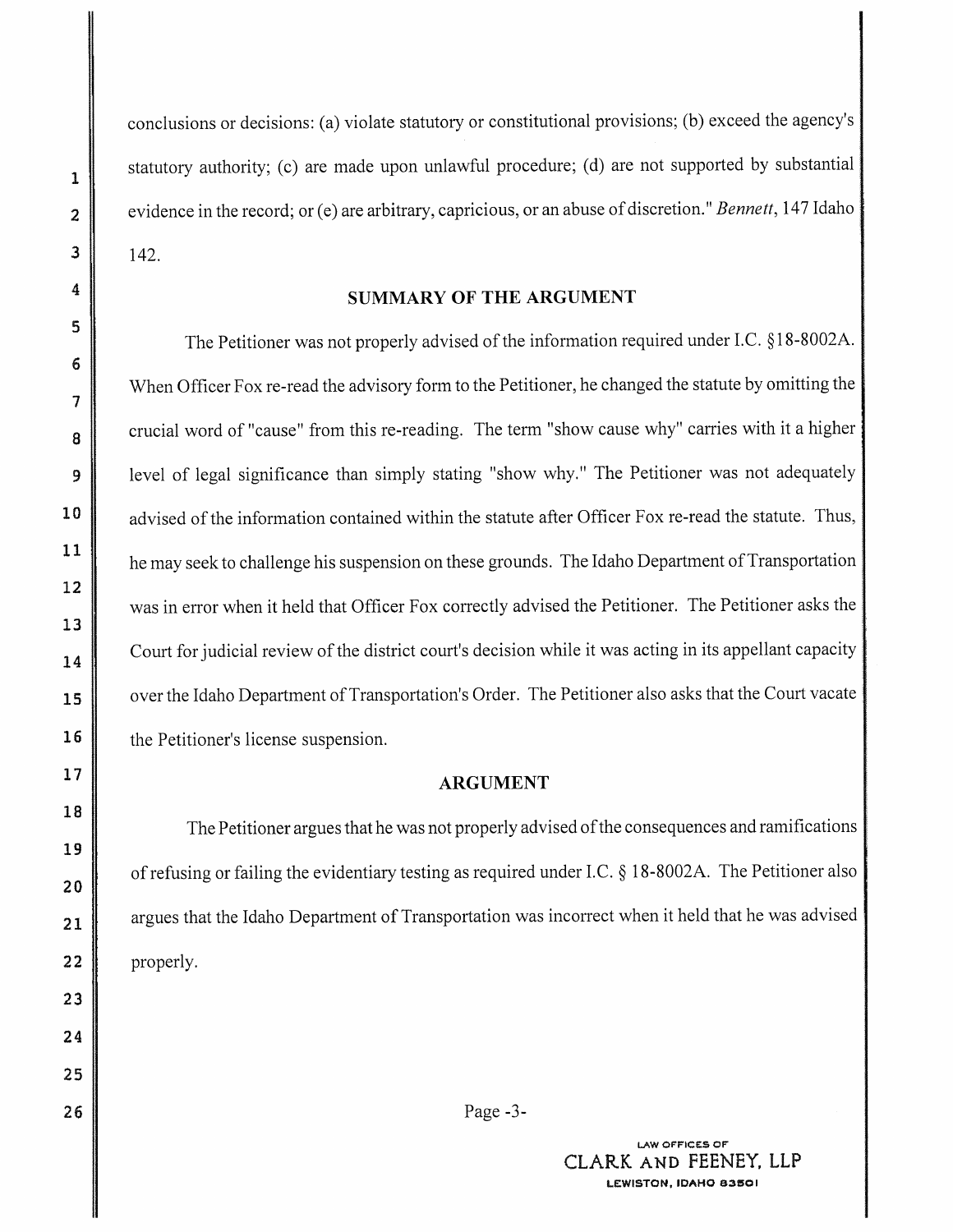conclusions or decisions: (a) violate statutory or constitutional provisions; (b) exceed the agency's statutory authority; (c) are made upon unlawful procedure; (d) are not supported by substantial evidence in the record; or (e) are arbitrary, capricious, or an abuse of discretion." *Bennett*, 147 Idaho 142.

#### **SUMMARY OF THE ARGUMENT**

The Petitioner was not properly advised of the information required under I.C. §18-8002A. When Officer Fox re-read the advisory form to the Petitioner, he changed the statute by omitting the crucial word of "cause" from this re-reading. The term "show cause why" carries with it a higher level of legal significance than simply stating "show why." The Petitioner was not adequately advised of the information contained within the statute after Officer Fox re-read the statute. Thus, he may seek to challenge his suspension on these grounds. The Idaho Department of Transportation was in error when it held that Officer Fox correctly advised the Petitioner. The Petitioner asks the Court for judicial review of the district court's decision while it was acting in its appellant capacity , over the Idaho Department of Transportation's Order. The Petitioner also asks that the Court vacate the Petitioner's license suspension.

#### **ARGUMENT**

The Petitioner argues that he was not properly advised of the consequences and ramifications . of refusing or failing the evidentiary testing as required under LC. § 18-8002A. The Petitioner also argues that the Idaho Department of Transportation was incorrect when it held that he was advised properly.

Page -3-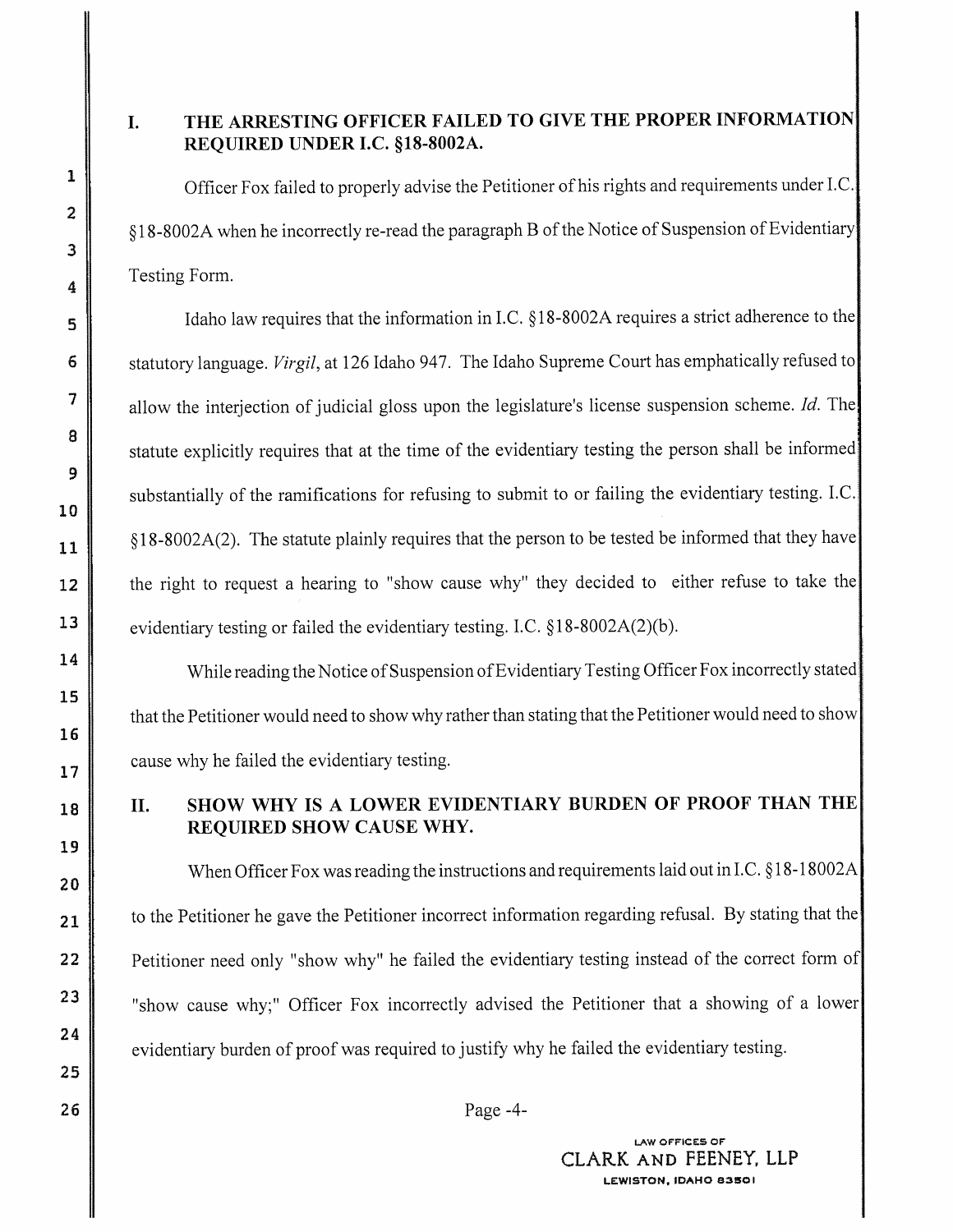### I. **THE ARRESTING OFFICER FAILED TO GIVE THE PROPER INFORMATION REQUIRED UNDER I.C. §18-8002A.**

Officer Fox failed to properly advise the Petitioner of his rights and requirements under LC. §18-8002A when he incorrectly re-read the paragraph B of the Notice of Suspension of Evidentiary Testing Form.

Idaho law requires that the information in I.C. § 18-8002A requires a strict adherence to the statutory language. *Virgil,* at 126 Idaho 947. The Idaho Supreme Court has emphatically refused to allow the interjection of judicial gloss upon the legislature's license suspension scheme. *Id.* The statute explicitly requires that at the time of the evidentiary testing the person shall be informed substantially of the ramifications for refusing to submit to or failing the evidentiary testing. I.C. § 18-8002A(2). The statute plainly requires that the person to be tested be informed that they have the right to request a hearing to "show cause why" they decided to either refuse to take the evidentiary testing or failed the evidentiary testing. I.C. § 18-8002A(2)(b ).

While reading the Notice of Suspension of Evidentiary Testing Officer Fox incorrectly stated that the Petitioner would need to show why rather than stating that the Petitioner would need to show cause why he failed the evidentiary testing.

### II. **SHOW WHY IS A LOWER EVIDENTIARY BURDEN OF PROOF THAN THE· REQUIRED SHOW CAUSE WHY.**

When Officer Fox was reading the instructions and requirements laid out in I.C. § 18-18002A to the Petitioner he gave the Petitioner incorrect information regarding refusal. By stating that the Petitioner need only "show why" he failed the evidentiary testing instead of the correct form of "show cause why;" Officer Fox incorrectly advised the Petitioner that a showing of a lower evidentiary burden of proof was required to justify why he failed the evidentiary testing.

Page -4-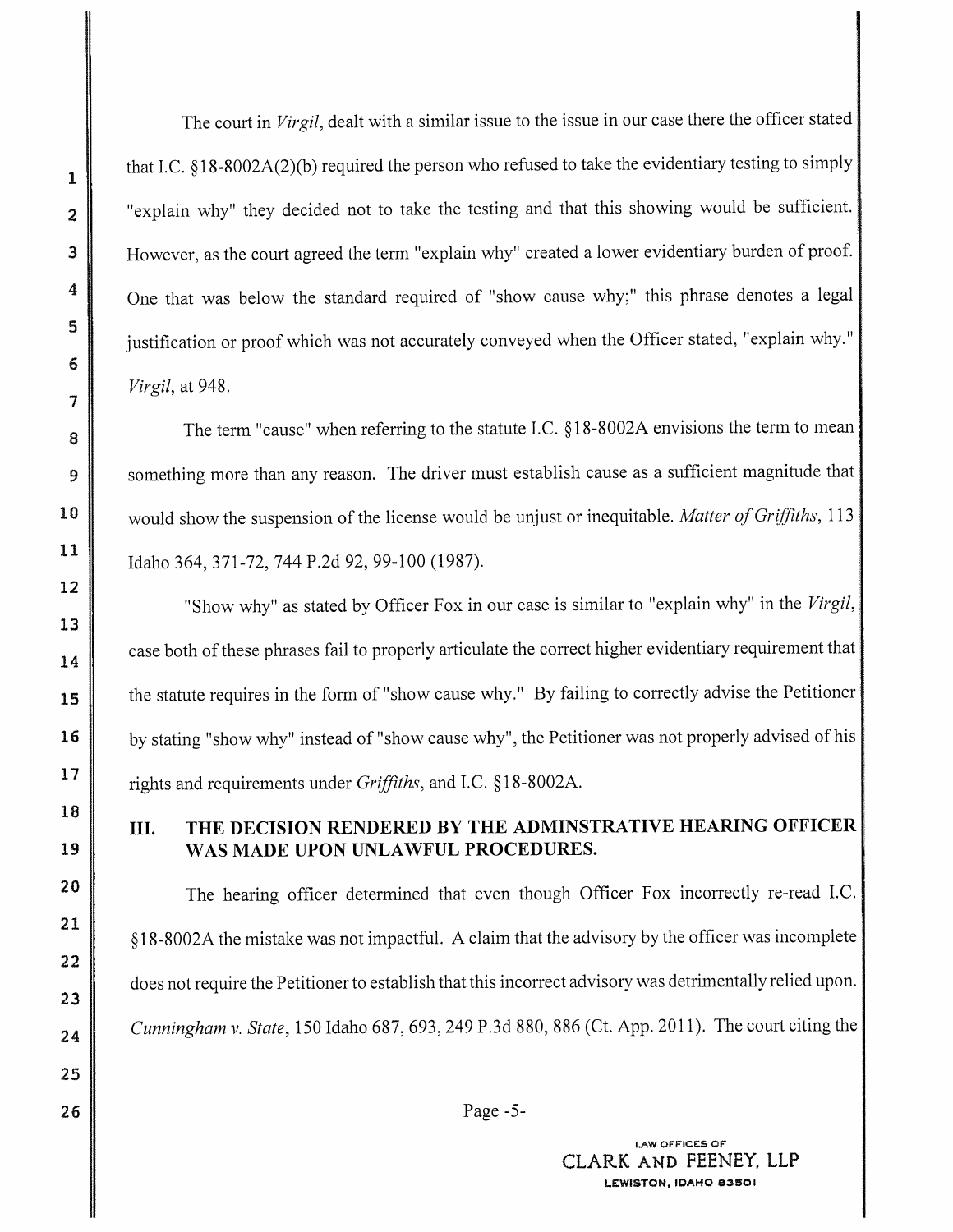The court in *Virgil,* dealt with a similar issue to the issue in our case there the officer stated that LC. § 18-8002A(2)(b) required the person who refused to take the evidentiary testing to simply "explain why" they decided not to take the testing and that this showing would be sufficient. However, as the court agreed the term "explain why" created a lower evidentiary burden of proof. One that was below the standard required of "show cause why;" this phrase denotes a legal justification or proof which was not accurately conveyed when the Officer stated, "explain why." *Virgil,* at 948.

The term "cause" when referring to the statute LC. § 18-8002A envisions the term to mean something more than any reason. The driver must establish cause as a sufficient magnitude that would show the suspension of the license would be unjust or inequitable. *Matter of Griffiths,* <sup>113</sup> Idaho 364, 371-72, 744 P.2d 92, 99-100 (1987).

"Show why" as stated by Officer Fox in our case is similar to "explain why" in the *Virgil,*  case both of these phrases fail to properly articulate the correct higher evidentiary requirement that the statute requires in the form of "show cause why." By failing to correctly advise the Petitioner by stating "show why" instead of "show cause why", the Petitioner was not properly advised of his : rights and requirements under *Griffiths,* and LC. § 18-8002A.

### III. **THE DECISION RENDERED BY THE ADMINSTRATIVE HEARING OFFICER** • **WAS MADE UPON UNLAWFUL PROCEDURES.**

The hearing officer determined that even though Officer Fox incorrectly re-read LC. § 18-8002A the mistake was not impactful. A claim that the advisory by the officer was incomplete does not require the Petitioner to establish that this incorrect advisory was detrimentally relied upon. *Cunningham v. State,* 150 Idaho 687,693,249 P.3d 880,886 (Ct. App. 2011). The court citing the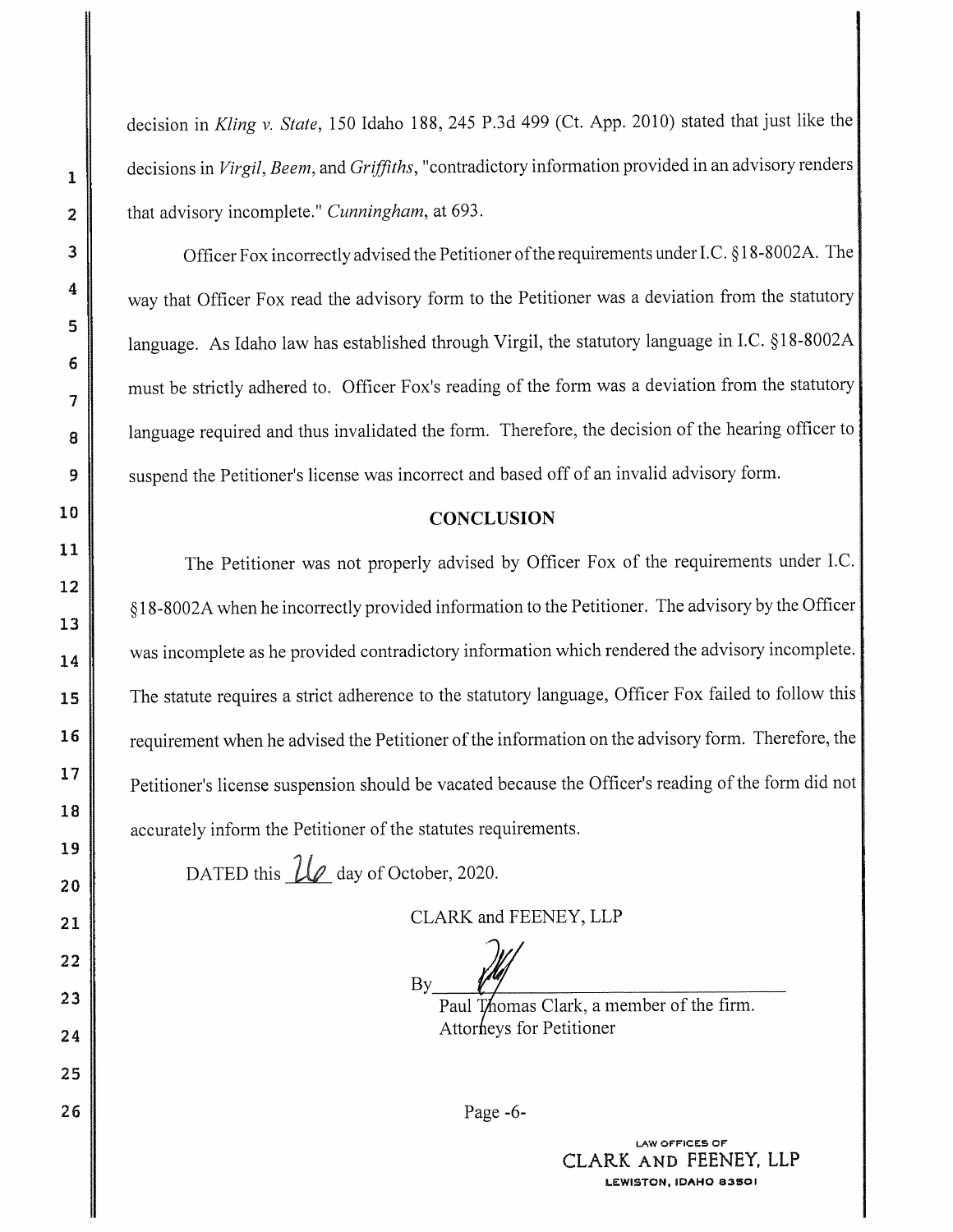decision in *Kling v. State,* 150 Idaho 188, 245 P.3d 499 (Ct. App. 2010) stated that just like the decisions in *Virgil, Beem,* and *Griffiths,* "contradictory information provided in an advisory renders that advisory incomplete." *Cunningham,* at 693.

Officer Fox incorrectly advised the Petitioner of the requirements under LC.§ 18-8002A. The way that Officer Fox read the advisory form to the Petitioner was a deviation from the statutory language. As Idaho law has established through Virgil, the statutory language in I.C. § l 8-8002A must be strictly adhered to. Officer Fox's reading of the form was a deviation from the statutory language required and thus invalidated the form. Therefore, the decision of the hearing officer to suspend the Petitioner's license was incorrect and based off of an invalid advisory form.

#### **CONCLUSION**

The Petitioner was not properly advised by Officer Fox of the requirements under I.C. § 18-8002A when he incorrectly provided information to the Petitioner. The advisory by the Officer was incomplete as he provided contradictory information which rendered the advisory incomplete. The statute requires a strict adherence to the statutory language, Officer Fox failed to follow this requirement when he advised the Petitioner of the information on the advisory form. Therefore, the • Petitioner's license suspension should be vacated because the Officer's reading of the form did not ; accurately inform the Petitioner of the statutes requirements.

DATED this  $\mathcal{U}_e$  day of October, 2020.

CLARK and FEENEY, LLP

 $\mathsf{By}$   $\mathscr{N}$   $\mathscr{N}$ 

Paul Thomas Clark, a member of the firm. Attorneys for Petitioner

Page -6-